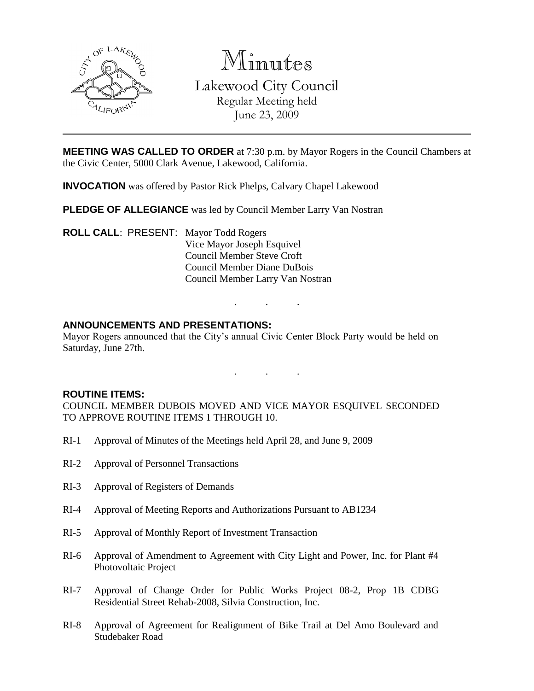

Minutes Lakewood City Council Regular Meeting held June 23, 2009

**MEETING WAS CALLED TO ORDER** at 7:30 p.m. by Mayor Rogers in the Council Chambers at the Civic Center, 5000 Clark Avenue, Lakewood, California.

**INVOCATION** was offered by Pastor Rick Phelps, Calvary Chapel Lakewood

**PLEDGE OF ALLEGIANCE** was led by Council Member Larry Van Nostran

**ROLL CALL**: PRESENT: Mayor Todd Rogers Vice Mayor Joseph Esquivel Council Member Steve Croft Council Member Diane DuBois Council Member Larry Van Nostran

# **ANNOUNCEMENTS AND PRESENTATIONS:**

Mayor Rogers announced that the City's annual Civic Center Block Party would be held on Saturday, June 27th.

. . .

. . .

### **ROUTINE ITEMS:**

COUNCIL MEMBER DUBOIS MOVED AND VICE MAYOR ESQUIVEL SECONDED TO APPROVE ROUTINE ITEMS 1 THROUGH 10.

- RI-1 Approval of Minutes of the Meetings held April 28, and June 9, 2009
- RI-2 Approval of Personnel Transactions
- RI-3 Approval of Registers of Demands
- RI-4 Approval of Meeting Reports and Authorizations Pursuant to AB1234
- RI-5 Approval of Monthly Report of Investment Transaction
- RI-6 Approval of Amendment to Agreement with City Light and Power, Inc. for Plant #4 Photovoltaic Project
- RI-7 Approval of Change Order for Public Works Project 08-2, Prop 1B CDBG Residential Street Rehab-2008, Silvia Construction, Inc.
- RI-8 Approval of Agreement for Realignment of Bike Trail at Del Amo Boulevard and Studebaker Road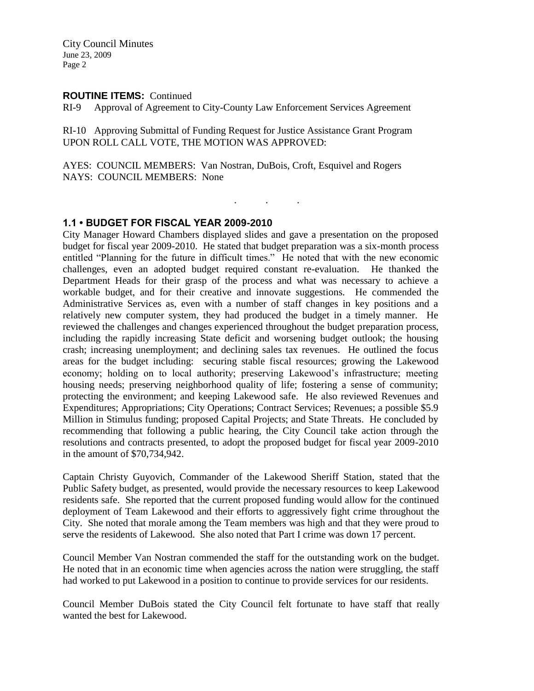### **ROUTINE ITEMS:** Continued

RI-9 Approval of Agreement to City-County Law Enforcement Services Agreement

RI-10 Approving Submittal of Funding Request for Justice Assistance Grant Program UPON ROLL CALL VOTE, THE MOTION WAS APPROVED:

AYES: COUNCIL MEMBERS: Van Nostran, DuBois, Croft, Esquivel and Rogers NAYS: COUNCIL MEMBERS: None

. . .

## **1.1 • BUDGET FOR FISCAL YEAR 2009-2010**

City Manager Howard Chambers displayed slides and gave a presentation on the proposed budget for fiscal year 2009-2010. He stated that budget preparation was a six-month process entitled "Planning for the future in difficult times." He noted that with the new economic challenges, even an adopted budget required constant re-evaluation. He thanked the Department Heads for their grasp of the process and what was necessary to achieve a workable budget, and for their creative and innovate suggestions. He commended the Administrative Services as, even with a number of staff changes in key positions and a relatively new computer system, they had produced the budget in a timely manner. He reviewed the challenges and changes experienced throughout the budget preparation process, including the rapidly increasing State deficit and worsening budget outlook; the housing crash; increasing unemployment; and declining sales tax revenues. He outlined the focus areas for the budget including: securing stable fiscal resources; growing the Lakewood economy; holding on to local authority; preserving Lakewood's infrastructure; meeting housing needs; preserving neighborhood quality of life; fostering a sense of community; protecting the environment; and keeping Lakewood safe. He also reviewed Revenues and Expenditures; Appropriations; City Operations; Contract Services; Revenues; a possible \$5.9 Million in Stimulus funding; proposed Capital Projects; and State Threats. He concluded by recommending that following a public hearing, the City Council take action through the resolutions and contracts presented, to adopt the proposed budget for fiscal year 2009-2010 in the amount of \$70,734,942.

Captain Christy Guyovich, Commander of the Lakewood Sheriff Station, stated that the Public Safety budget, as presented, would provide the necessary resources to keep Lakewood residents safe. She reported that the current proposed funding would allow for the continued deployment of Team Lakewood and their efforts to aggressively fight crime throughout the City. She noted that morale among the Team members was high and that they were proud to serve the residents of Lakewood. She also noted that Part I crime was down 17 percent.

Council Member Van Nostran commended the staff for the outstanding work on the budget. He noted that in an economic time when agencies across the nation were struggling, the staff had worked to put Lakewood in a position to continue to provide services for our residents.

Council Member DuBois stated the City Council felt fortunate to have staff that really wanted the best for Lakewood.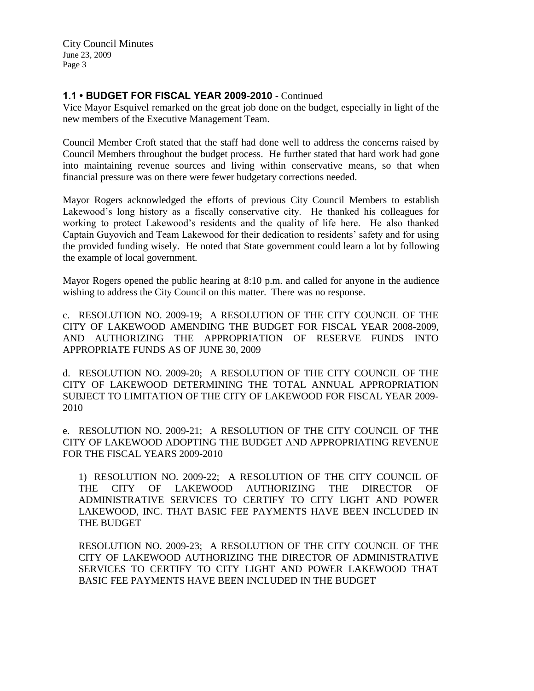# **1.1 • BUDGET FOR FISCAL YEAR 2009-2010** - Continued

Vice Mayor Esquivel remarked on the great job done on the budget, especially in light of the new members of the Executive Management Team.

Council Member Croft stated that the staff had done well to address the concerns raised by Council Members throughout the budget process. He further stated that hard work had gone into maintaining revenue sources and living within conservative means, so that when financial pressure was on there were fewer budgetary corrections needed.

Mayor Rogers acknowledged the efforts of previous City Council Members to establish Lakewood's long history as a fiscally conservative city. He thanked his colleagues for working to protect Lakewood's residents and the quality of life here. He also thanked Captain Guyovich and Team Lakewood for their dedication to residents' safety and for using the provided funding wisely. He noted that State government could learn a lot by following the example of local government.

Mayor Rogers opened the public hearing at 8:10 p.m. and called for anyone in the audience wishing to address the City Council on this matter. There was no response.

c. RESOLUTION NO. 2009-19; A RESOLUTION OF THE CITY COUNCIL OF THE CITY OF LAKEWOOD AMENDING THE BUDGET FOR FISCAL YEAR 2008-2009, AND AUTHORIZING THE APPROPRIATION OF RESERVE FUNDS INTO APPROPRIATE FUNDS AS OF JUNE 30, 2009

d. RESOLUTION NO. 2009-20; A RESOLUTION OF THE CITY COUNCIL OF THE CITY OF LAKEWOOD DETERMINING THE TOTAL ANNUAL APPROPRIATION SUBJECT TO LIMITATION OF THE CITY OF LAKEWOOD FOR FISCAL YEAR 2009- 2010

e. RESOLUTION NO. 2009-21; A RESOLUTION OF THE CITY COUNCIL OF THE CITY OF LAKEWOOD ADOPTING THE BUDGET AND APPROPRIATING REVENUE FOR THE FISCAL YEARS 2009-2010

1) RESOLUTION NO. 2009-22; A RESOLUTION OF THE CITY COUNCIL OF THE CITY OF LAKEWOOD AUTHORIZING THE DIRECTOR OF ADMINISTRATIVE SERVICES TO CERTIFY TO CITY LIGHT AND POWER LAKEWOOD, INC. THAT BASIC FEE PAYMENTS HAVE BEEN INCLUDED IN THE BUDGET

RESOLUTION NO. 2009-23; A RESOLUTION OF THE CITY COUNCIL OF THE CITY OF LAKEWOOD AUTHORIZING THE DIRECTOR OF ADMINISTRATIVE SERVICES TO CERTIFY TO CITY LIGHT AND POWER LAKEWOOD THAT BASIC FEE PAYMENTS HAVE BEEN INCLUDED IN THE BUDGET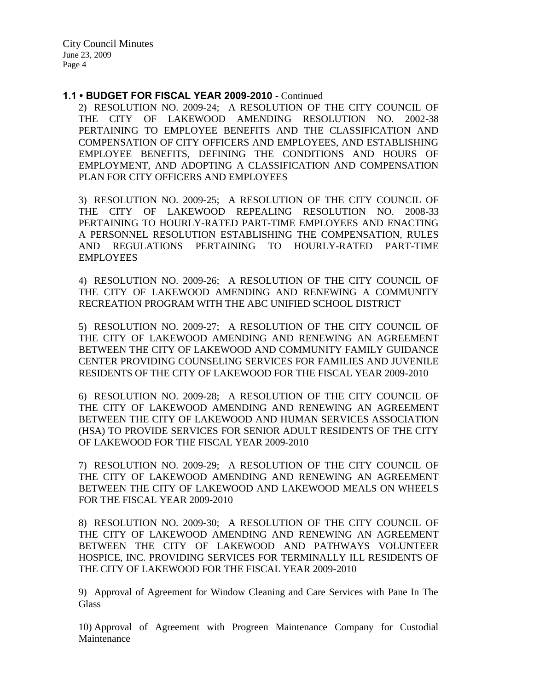#### **1.1 • BUDGET FOR FISCAL YEAR 2009-2010** - Continued

2) RESOLUTION NO. 2009-24; A RESOLUTION OF THE CITY COUNCIL OF THE CITY OF LAKEWOOD AMENDING RESOLUTION NO. 2002-38 PERTAINING TO EMPLOYEE BENEFITS AND THE CLASSIFICATION AND COMPENSATION OF CITY OFFICERS AND EMPLOYEES, AND ESTABLISHING EMPLOYEE BENEFITS, DEFINING THE CONDITIONS AND HOURS OF EMPLOYMENT, AND ADOPTING A CLASSIFICATION AND COMPENSATION PLAN FOR CITY OFFICERS AND EMPLOYEES

3) RESOLUTION NO. 2009-25; A RESOLUTION OF THE CITY COUNCIL OF THE CITY OF LAKEWOOD REPEALING RESOLUTION NO. 2008-33 PERTAINING TO HOURLY-RATED PART-TIME EMPLOYEES AND ENACTING A PERSONNEL RESOLUTION ESTABLISHING THE COMPENSATION, RULES AND REGULATIONS PERTAINING TO HOURLY-RATED PART-TIME EMPLOYEES

4) RESOLUTION NO. 2009-26; A RESOLUTION OF THE CITY COUNCIL OF THE CITY OF LAKEWOOD AMENDING AND RENEWING A COMMUNITY RECREATION PROGRAM WITH THE ABC UNIFIED SCHOOL DISTRICT

5) RESOLUTION NO. 2009-27; A RESOLUTION OF THE CITY COUNCIL OF THE CITY OF LAKEWOOD AMENDING AND RENEWING AN AGREEMENT BETWEEN THE CITY OF LAKEWOOD AND COMMUNITY FAMILY GUIDANCE CENTER PROVIDING COUNSELING SERVICES FOR FAMILIES AND JUVENILE RESIDENTS OF THE CITY OF LAKEWOOD FOR THE FISCAL YEAR 2009-2010

6) RESOLUTION NO. 2009-28; A RESOLUTION OF THE CITY COUNCIL OF THE CITY OF LAKEWOOD AMENDING AND RENEWING AN AGREEMENT BETWEEN THE CITY OF LAKEWOOD AND HUMAN SERVICES ASSOCIATION (HSA) TO PROVIDE SERVICES FOR SENIOR ADULT RESIDENTS OF THE CITY OF LAKEWOOD FOR THE FISCAL YEAR 2009-2010

7) RESOLUTION NO. 2009-29; A RESOLUTION OF THE CITY COUNCIL OF THE CITY OF LAKEWOOD AMENDING AND RENEWING AN AGREEMENT BETWEEN THE CITY OF LAKEWOOD AND LAKEWOOD MEALS ON WHEELS FOR THE FISCAL YEAR 2009-2010

8) RESOLUTION NO. 2009-30; A RESOLUTION OF THE CITY COUNCIL OF THE CITY OF LAKEWOOD AMENDING AND RENEWING AN AGREEMENT BETWEEN THE CITY OF LAKEWOOD AND PATHWAYS VOLUNTEER HOSPICE, INC. PROVIDING SERVICES FOR TERMINALLY ILL RESIDENTS OF THE CITY OF LAKEWOOD FOR THE FISCAL YEAR 2009-2010

9) Approval of Agreement for Window Cleaning and Care Services with Pane In The **Glass** 

10) Approval of Agreement with Progreen Maintenance Company for Custodial Maintenance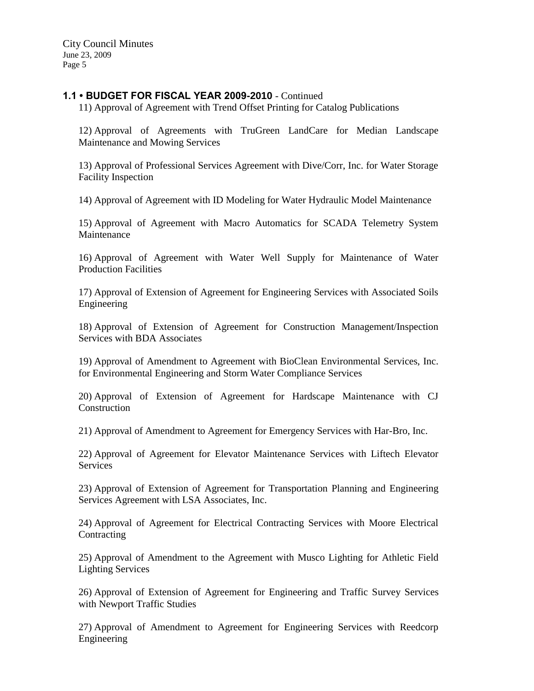## **1.1 • BUDGET FOR FISCAL YEAR 2009-2010** - Continued

11) Approval of Agreement with Trend Offset Printing for Catalog Publications

12) Approval of Agreements with TruGreen LandCare for Median Landscape Maintenance and Mowing Services

13) Approval of Professional Services Agreement with Dive/Corr, Inc. for Water Storage Facility Inspection

14) Approval of Agreement with ID Modeling for Water Hydraulic Model Maintenance

15) Approval of Agreement with Macro Automatics for SCADA Telemetry System Maintenance

16) Approval of Agreement with Water Well Supply for Maintenance of Water Production Facilities

17) Approval of Extension of Agreement for Engineering Services with Associated Soils Engineering

18) Approval of Extension of Agreement for Construction Management/Inspection Services with BDA Associates

19) Approval of Amendment to Agreement with BioClean Environmental Services, Inc. for Environmental Engineering and Storm Water Compliance Services

20) Approval of Extension of Agreement for Hardscape Maintenance with CJ Construction

21) Approval of Amendment to Agreement for Emergency Services with Har-Bro, Inc.

22) Approval of Agreement for Elevator Maintenance Services with Liftech Elevator **Services** 

23) Approval of Extension of Agreement for Transportation Planning and Engineering Services Agreement with LSA Associates, Inc.

24) Approval of Agreement for Electrical Contracting Services with Moore Electrical **Contracting** 

25) Approval of Amendment to the Agreement with Musco Lighting for Athletic Field Lighting Services

26) Approval of Extension of Agreement for Engineering and Traffic Survey Services with Newport Traffic Studies

27) Approval of Amendment to Agreement for Engineering Services with Reedcorp Engineering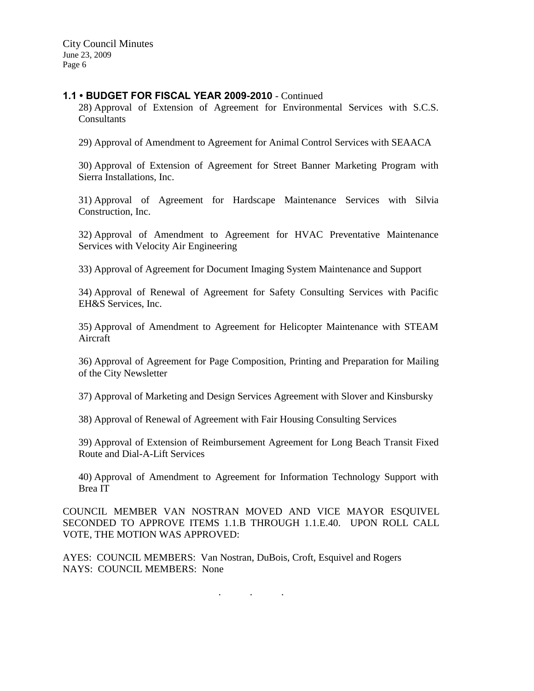### **1.1 • BUDGET FOR FISCAL YEAR 2009-2010** - Continued

28) Approval of Extension of Agreement for Environmental Services with S.C.S. **Consultants** 

29) Approval of Amendment to Agreement for Animal Control Services with SEAACA

30) Approval of Extension of Agreement for Street Banner Marketing Program with Sierra Installations, Inc.

31) Approval of Agreement for Hardscape Maintenance Services with Silvia Construction, Inc.

32) Approval of Amendment to Agreement for HVAC Preventative Maintenance Services with Velocity Air Engineering

33) Approval of Agreement for Document Imaging System Maintenance and Support

34) Approval of Renewal of Agreement for Safety Consulting Services with Pacific EH&S Services, Inc.

35) Approval of Amendment to Agreement for Helicopter Maintenance with STEAM Aircraft

36) Approval of Agreement for Page Composition, Printing and Preparation for Mailing of the City Newsletter

37) Approval of Marketing and Design Services Agreement with Slover and Kinsbursky

38) Approval of Renewal of Agreement with Fair Housing Consulting Services

39) Approval of Extension of Reimbursement Agreement for Long Beach Transit Fixed Route and Dial-A-Lift Services

40) Approval of Amendment to Agreement for Information Technology Support with Brea IT

COUNCIL MEMBER VAN NOSTRAN MOVED AND VICE MAYOR ESQUIVEL SECONDED TO APPROVE ITEMS 1.1.B THROUGH 1.1.E.40. UPON ROLL CALL VOTE, THE MOTION WAS APPROVED:

AYES: COUNCIL MEMBERS: Van Nostran, DuBois, Croft, Esquivel and Rogers NAYS: COUNCIL MEMBERS: None

. . .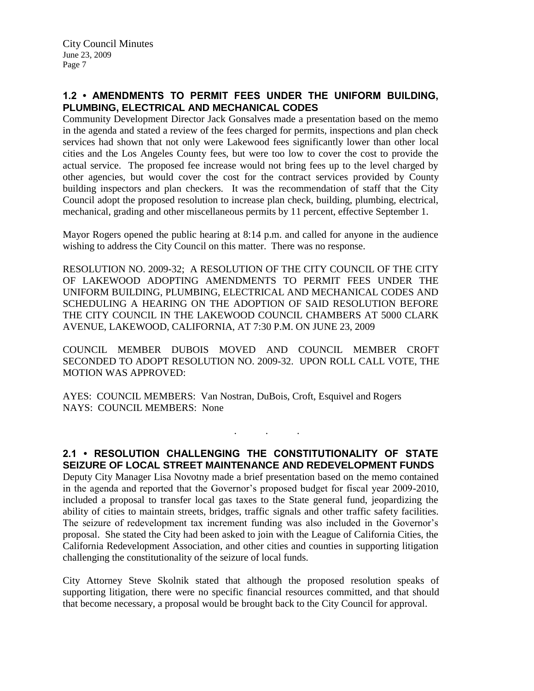# **1.2 • AMENDMENTS TO PERMIT FEES UNDER THE UNIFORM BUILDING, PLUMBING, ELECTRICAL AND MECHANICAL CODES**

Community Development Director Jack Gonsalves made a presentation based on the memo in the agenda and stated a review of the fees charged for permits, inspections and plan check services had shown that not only were Lakewood fees significantly lower than other local cities and the Los Angeles County fees, but were too low to cover the cost to provide the actual service. The proposed fee increase would not bring fees up to the level charged by other agencies, but would cover the cost for the contract services provided by County building inspectors and plan checkers. It was the recommendation of staff that the City Council adopt the proposed resolution to increase plan check, building, plumbing, electrical, mechanical, grading and other miscellaneous permits by 11 percent, effective September 1.

Mayor Rogers opened the public hearing at 8:14 p.m. and called for anyone in the audience wishing to address the City Council on this matter. There was no response.

RESOLUTION NO. 2009-32; A RESOLUTION OF THE CITY COUNCIL OF THE CITY OF LAKEWOOD ADOPTING AMENDMENTS TO PERMIT FEES UNDER THE UNIFORM BUILDING, PLUMBING, ELECTRICAL AND MECHANICAL CODES AND SCHEDULING A HEARING ON THE ADOPTION OF SAID RESOLUTION BEFORE THE CITY COUNCIL IN THE LAKEWOOD COUNCIL CHAMBERS AT 5000 CLARK AVENUE, LAKEWOOD, CALIFORNIA, AT 7:30 P.M. ON JUNE 23, 2009

COUNCIL MEMBER DUBOIS MOVED AND COUNCIL MEMBER CROFT SECONDED TO ADOPT RESOLUTION NO. 2009-32. UPON ROLL CALL VOTE, THE MOTION WAS APPROVED:

AYES: COUNCIL MEMBERS: Van Nostran, DuBois, Croft, Esquivel and Rogers NAYS: COUNCIL MEMBERS: None

**2.1 • RESOLUTION CHALLENGING THE CONSTITUTIONALITY OF STATE SEIZURE OF LOCAL STREET MAINTENANCE AND REDEVELOPMENT FUNDS**

. . .

Deputy City Manager Lisa Novotny made a brief presentation based on the memo contained in the agenda and reported that the Governor's proposed budget for fiscal year 2009-2010, included a proposal to transfer local gas taxes to the State general fund, jeopardizing the ability of cities to maintain streets, bridges, traffic signals and other traffic safety facilities. The seizure of redevelopment tax increment funding was also included in the Governor's proposal. She stated the City had been asked to join with the League of California Cities, the California Redevelopment Association, and other cities and counties in supporting litigation challenging the constitutionality of the seizure of local funds.

City Attorney Steve Skolnik stated that although the proposed resolution speaks of supporting litigation, there were no specific financial resources committed, and that should that become necessary, a proposal would be brought back to the City Council for approval.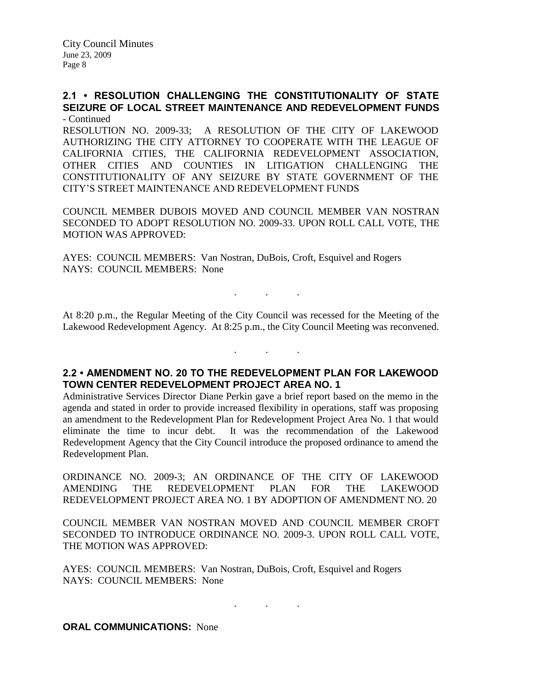### **2.1 • RESOLUTION CHALLENGING THE CONSTITUTIONALITY OF STATE SEIZURE OF LOCAL STREET MAINTENANCE AND REDEVELOPMENT FUNDS** - Continued

RESOLUTION NO. 2009-33; A RESOLUTION OF THE CITY OF LAKEWOOD AUTHORIZING THE CITY ATTORNEY TO COOPERATE WITH THE LEAGUE OF CALIFORNIA CITIES, THE CALIFORNIA REDEVELOPMENT ASSOCIATION, OTHER CITIES AND COUNTIES IN LITIGATION CHALLENGING THE CONSTITUTIONALITY OF ANY SEIZURE BY STATE GOVERNMENT OF THE CITY'S STREET MAINTENANCE AND REDEVELOPMENT FUNDS

COUNCIL MEMBER DUBOIS MOVED AND COUNCIL MEMBER VAN NOSTRAN SECONDED TO ADOPT RESOLUTION NO. 2009-33. UPON ROLL CALL VOTE, THE MOTION WAS APPROVED:

AYES: COUNCIL MEMBERS: Van Nostran, DuBois, Croft, Esquivel and Rogers NAYS: COUNCIL MEMBERS: None

At 8:20 p.m., the Regular Meeting of the City Council was recessed for the Meeting of the Lakewood Redevelopment Agency. At 8:25 p.m., the City Council Meeting was reconvened.

. . .

. . .

# **2.2 • AMENDMENT NO. 20 TO THE REDEVELOPMENT PLAN FOR LAKEWOOD TOWN CENTER REDEVELOPMENT PROJECT AREA NO. 1**

Administrative Services Director Diane Perkin gave a brief report based on the memo in the agenda and stated in order to provide increased flexibility in operations, staff was proposing an amendment to the Redevelopment Plan for Redevelopment Project Area No. 1 that would eliminate the time to incur debt. It was the recommendation of the Lakewood Redevelopment Agency that the City Council introduce the proposed ordinance to amend the Redevelopment Plan.

ORDINANCE NO. 2009-3; AN ORDINANCE OF THE CITY OF LAKEWOOD AMENDING THE REDEVELOPMENT PLAN FOR THE LAKEWOOD REDEVELOPMENT PROJECT AREA NO. 1 BY ADOPTION OF AMENDMENT NO. 20

COUNCIL MEMBER VAN NOSTRAN MOVED AND COUNCIL MEMBER CROFT SECONDED TO INTRODUCE ORDINANCE NO. 2009-3. UPON ROLL CALL VOTE, THE MOTION WAS APPROVED:

. . .

AYES: COUNCIL MEMBERS: Van Nostran, DuBois, Croft, Esquivel and Rogers NAYS: COUNCIL MEMBERS: None

**ORAL COMMUNICATIONS:** None